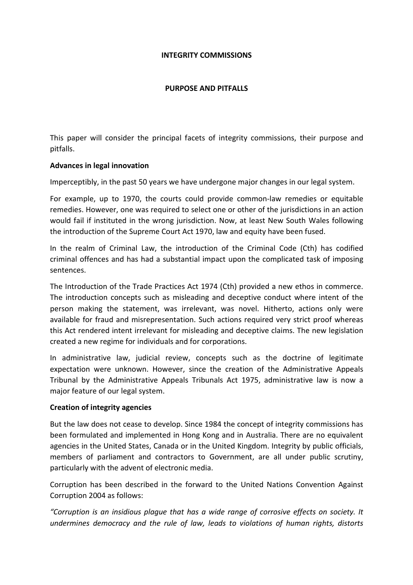### INTEGRITY COMMISSIONS

### PURPOSE AND PITFALLS

This paper will consider the principal facets of integrity commissions, their purpose and pitfalls.

### Advances in legal innovation

Imperceptibly, in the past 50 years we have undergone major changes in our legal system.

For example, up to 1970, the courts could provide common-law remedies or equitable remedies. However, one was required to select one or other of the jurisdictions in an action would fail if instituted in the wrong jurisdiction. Now, at least New South Wales following the introduction of the Supreme Court Act 1970, law and equity have been fused.

In the realm of Criminal Law, the introduction of the Criminal Code (Cth) has codified criminal offences and has had a substantial impact upon the complicated task of imposing sentences.

The Introduction of the Trade Practices Act 1974 (Cth) provided a new ethos in commerce. The introduction concepts such as misleading and deceptive conduct where intent of the person making the statement, was irrelevant, was novel. Hitherto, actions only were available for fraud and misrepresentation. Such actions required very strict proof whereas this Act rendered intent irrelevant for misleading and deceptive claims. The new legislation created a new regime for individuals and for corporations.

In administrative law, judicial review, concepts such as the doctrine of legitimate expectation were unknown. However, since the creation of the Administrative Appeals Tribunal by the Administrative Appeals Tribunals Act 1975, administrative law is now a major feature of our legal system.

### Creation of integrity agencies

But the law does not cease to develop. Since 1984 the concept of integrity commissions has been formulated and implemented in Hong Kong and in Australia. There are no equivalent agencies in the United States, Canada or in the United Kingdom. Integrity by public officials, members of parliament and contractors to Government, are all under public scrutiny, particularly with the advent of electronic media.

Corruption has been described in the forward to the United Nations Convention Against Corruption 2004 as follows:

"Corruption is an insidious plague that has a wide range of corrosive effects on society. It undermines democracy and the rule of law, leads to violations of human rights, distorts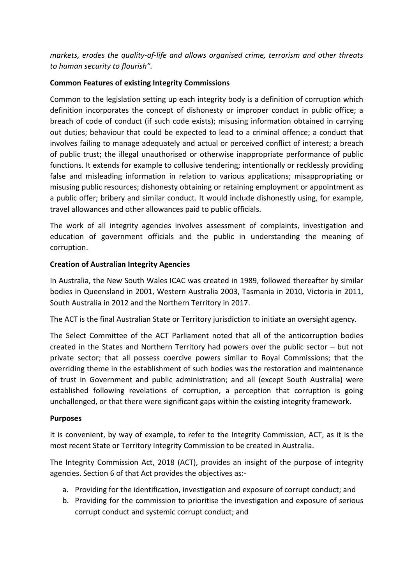markets, erodes the quality-of-life and allows organised crime, terrorism and other threats to human security to flourish".

### Common Features of existing Integrity Commissions

Common to the legislation setting up each integrity body is a definition of corruption which definition incorporates the concept of dishonesty or improper conduct in public office; a breach of code of conduct (if such code exists); misusing information obtained in carrying out duties; behaviour that could be expected to lead to a criminal offence; a conduct that involves failing to manage adequately and actual or perceived conflict of interest; a breach of public trust; the illegal unauthorised or otherwise inappropriate performance of public functions. It extends for example to collusive tendering; intentionally or recklessly providing false and misleading information in relation to various applications; misappropriating or misusing public resources; dishonesty obtaining or retaining employment or appointment as a public offer; bribery and similar conduct. It would include dishonestly using, for example, travel allowances and other allowances paid to public officials.

The work of all integrity agencies involves assessment of complaints, investigation and education of government officials and the public in understanding the meaning of corruption.

### Creation of Australian Integrity Agencies

In Australia, the New South Wales ICAC was created in 1989, followed thereafter by similar bodies in Queensland in 2001, Western Australia 2003, Tasmania in 2010, Victoria in 2011, South Australia in 2012 and the Northern Territory in 2017.

The ACT is the final Australian State or Territory jurisdiction to initiate an oversight agency.

The Select Committee of the ACT Parliament noted that all of the anticorruption bodies created in the States and Northern Territory had powers over the public sector – but not private sector; that all possess coercive powers similar to Royal Commissions; that the overriding theme in the establishment of such bodies was the restoration and maintenance of trust in Government and public administration; and all (except South Australia) were established following revelations of corruption, a perception that corruption is going unchallenged, or that there were significant gaps within the existing integrity framework.

### Purposes

It is convenient, by way of example, to refer to the Integrity Commission, ACT, as it is the most recent State or Territory Integrity Commission to be created in Australia.

The Integrity Commission Act, 2018 (ACT), provides an insight of the purpose of integrity agencies. Section 6 of that Act provides the objectives as:-

- a. Providing for the identification, investigation and exposure of corrupt conduct; and
- b. Providing for the commission to prioritise the investigation and exposure of serious corrupt conduct and systemic corrupt conduct; and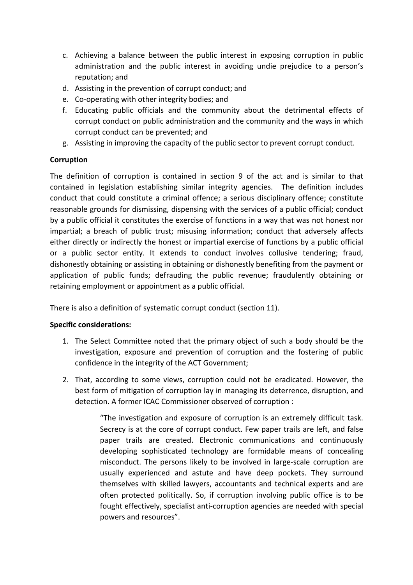- c. Achieving a balance between the public interest in exposing corruption in public administration and the public interest in avoiding undie prejudice to a person's reputation; and
- d. Assisting in the prevention of corrupt conduct; and
- e. Co-operating with other integrity bodies; and
- f. Educating public officials and the community about the detrimental effects of corrupt conduct on public administration and the community and the ways in which corrupt conduct can be prevented; and
- g. Assisting in improving the capacity of the public sector to prevent corrupt conduct.

## Corruption

The definition of corruption is contained in section 9 of the act and is similar to that contained in legislation establishing similar integrity agencies. The definition includes conduct that could constitute a criminal offence; a serious disciplinary offence; constitute reasonable grounds for dismissing, dispensing with the services of a public official; conduct by a public official it constitutes the exercise of functions in a way that was not honest nor impartial; a breach of public trust; misusing information; conduct that adversely affects either directly or indirectly the honest or impartial exercise of functions by a public official or a public sector entity. It extends to conduct involves collusive tendering; fraud, dishonestly obtaining or assisting in obtaining or dishonestly benefiting from the payment or application of public funds; defrauding the public revenue; fraudulently obtaining or retaining employment or appointment as a public official.

There is also a definition of systematic corrupt conduct (section 11).

### Specific considerations:

- 1. The Select Committee noted that the primary object of such a body should be the investigation, exposure and prevention of corruption and the fostering of public confidence in the integrity of the ACT Government;
- 2. That, according to some views, corruption could not be eradicated. However, the best form of mitigation of corruption lay in managing its deterrence, disruption, and detection. A former ICAC Commissioner observed of corruption :

"The investigation and exposure of corruption is an extremely difficult task. Secrecy is at the core of corrupt conduct. Few paper trails are left, and false paper trails are created. Electronic communications and continuously developing sophisticated technology are formidable means of concealing misconduct. The persons likely to be involved in large-scale corruption are usually experienced and astute and have deep pockets. They surround themselves with skilled lawyers, accountants and technical experts and are often protected politically. So, if corruption involving public office is to be fought effectively, specialist anti-corruption agencies are needed with special powers and resources".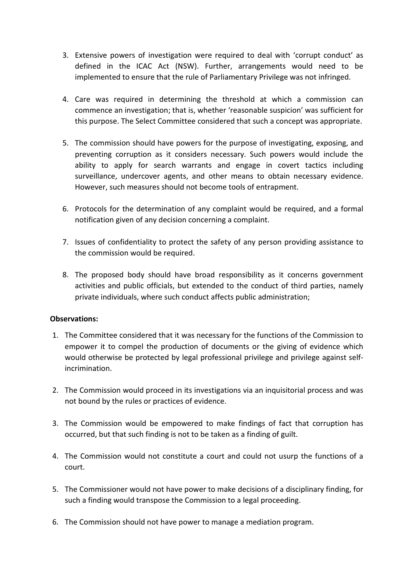- 3. Extensive powers of investigation were required to deal with 'corrupt conduct' as defined in the ICAC Act (NSW). Further, arrangements would need to be implemented to ensure that the rule of Parliamentary Privilege was not infringed.
- 4. Care was required in determining the threshold at which a commission can commence an investigation; that is, whether 'reasonable suspicion' was sufficient for this purpose. The Select Committee considered that such a concept was appropriate.
- 5. The commission should have powers for the purpose of investigating, exposing, and preventing corruption as it considers necessary. Such powers would include the ability to apply for search warrants and engage in covert tactics including surveillance, undercover agents, and other means to obtain necessary evidence. However, such measures should not become tools of entrapment.
- 6. Protocols for the determination of any complaint would be required, and a formal notification given of any decision concerning a complaint.
- 7. Issues of confidentiality to protect the safety of any person providing assistance to the commission would be required.
- 8. The proposed body should have broad responsibility as it concerns government activities and public officials, but extended to the conduct of third parties, namely private individuals, where such conduct affects public administration;

## Observations:

- 1. The Committee considered that it was necessary for the functions of the Commission to empower it to compel the production of documents or the giving of evidence which would otherwise be protected by legal professional privilege and privilege against selfincrimination.
- 2. The Commission would proceed in its investigations via an inquisitorial process and was not bound by the rules or practices of evidence.
- 3. The Commission would be empowered to make findings of fact that corruption has occurred, but that such finding is not to be taken as a finding of guilt.
- 4. The Commission would not constitute a court and could not usurp the functions of a court.
- 5. The Commissioner would not have power to make decisions of a disciplinary finding, for such a finding would transpose the Commission to a legal proceeding.
- 6. The Commission should not have power to manage a mediation program.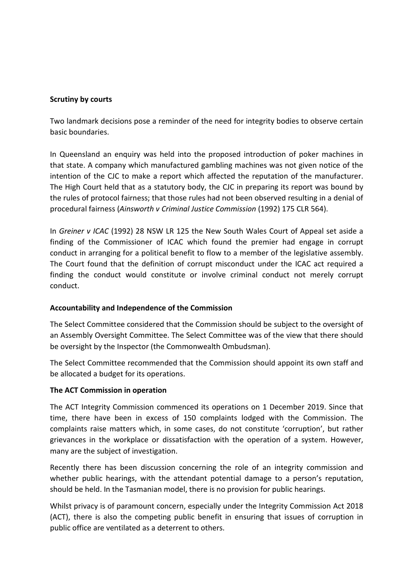### Scrutiny by courts

Two landmark decisions pose a reminder of the need for integrity bodies to observe certain basic boundaries.

In Queensland an enquiry was held into the proposed introduction of poker machines in that state. A company which manufactured gambling machines was not given notice of the intention of the CJC to make a report which affected the reputation of the manufacturer. The High Court held that as a statutory body, the CJC in preparing its report was bound by the rules of protocol fairness; that those rules had not been observed resulting in a denial of procedural fairness (Ainsworth v Criminal Justice Commission (1992) 175 CLR 564).

In Greiner v ICAC (1992) 28 NSW LR 125 the New South Wales Court of Appeal set aside a finding of the Commissioner of ICAC which found the premier had engage in corrupt conduct in arranging for a political benefit to flow to a member of the legislative assembly. The Court found that the definition of corrupt misconduct under the ICAC act required a finding the conduct would constitute or involve criminal conduct not merely corrupt conduct.

## Accountability and Independence of the Commission

The Select Committee considered that the Commission should be subject to the oversight of an Assembly Oversight Committee. The Select Committee was of the view that there should be oversight by the Inspector (the Commonwealth Ombudsman).

The Select Committee recommended that the Commission should appoint its own staff and be allocated a budget for its operations.

### The ACT Commission in operation

The ACT Integrity Commission commenced its operations on 1 December 2019. Since that time, there have been in excess of 150 complaints lodged with the Commission. The complaints raise matters which, in some cases, do not constitute 'corruption', but rather grievances in the workplace or dissatisfaction with the operation of a system. However, many are the subject of investigation.

Recently there has been discussion concerning the role of an integrity commission and whether public hearings, with the attendant potential damage to a person's reputation, should be held. In the Tasmanian model, there is no provision for public hearings.

Whilst privacy is of paramount concern, especially under the Integrity Commission Act 2018 (ACT), there is also the competing public benefit in ensuring that issues of corruption in public office are ventilated as a deterrent to others.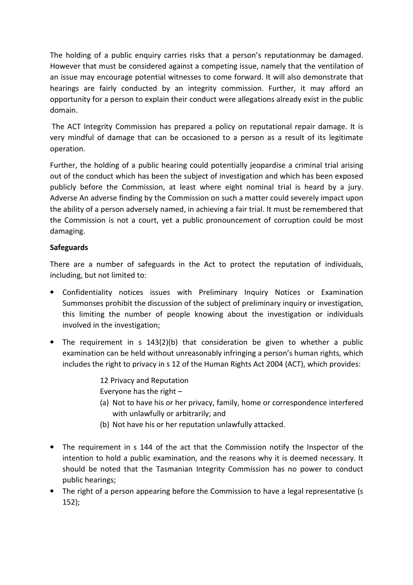The holding of a public enquiry carries risks that a person's reputationmay be damaged. However that must be considered against a competing issue, namely that the ventilation of an issue may encourage potential witnesses to come forward. It will also demonstrate that hearings are fairly conducted by an integrity commission. Further, it may afford an opportunity for a person to explain their conduct were allegations already exist in the public domain.

 The ACT Integrity Commission has prepared a policy on reputational repair damage. It is very mindful of damage that can be occasioned to a person as a result of its legitimate operation.

Further, the holding of a public hearing could potentially jeopardise a criminal trial arising out of the conduct which has been the subject of investigation and which has been exposed publicly before the Commission, at least where eight nominal trial is heard by a jury. Adverse An adverse finding by the Commission on such a matter could severely impact upon the ability of a person adversely named, in achieving a fair trial. It must be remembered that the Commission is not a court, yet a public pronouncement of corruption could be most damaging.

# **Safeguards**

There are a number of safeguards in the Act to protect the reputation of individuals, including, but not limited to:

- Confidentiality notices issues with Preliminary Inquiry Notices or Examination Summonses prohibit the discussion of the subject of preliminary inquiry or investigation, this limiting the number of people knowing about the investigation or individuals involved in the investigation;
- The requirement in s  $143(2)(b)$  that consideration be given to whether a public examination can be held without unreasonably infringing a person's human rights, which includes the right to privacy in s 12 of the Human Rights Act 2004 (ACT), which provides:

12 Privacy and Reputation Everyone has the right –

- (a) Not to have his or her privacy, family, home or correspondence interfered with unlawfully or arbitrarily; and
- (b) Not have his or her reputation unlawfully attacked.
- The requirement in s 144 of the act that the Commission notify the Inspector of the intention to hold a public examination, and the reasons why it is deemed necessary. It should be noted that the Tasmanian Integrity Commission has no power to conduct public hearings;
- The right of a person appearing before the Commission to have a legal representative (s 152);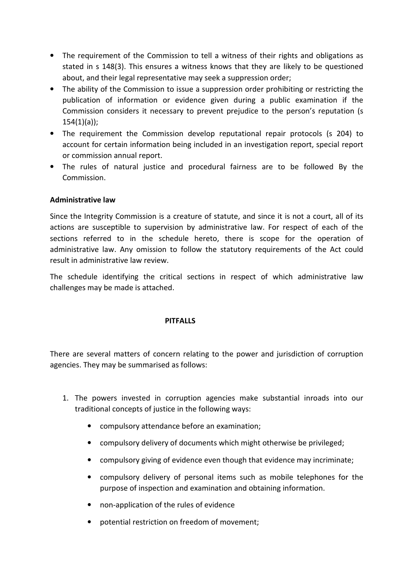- The requirement of the Commission to tell a witness of their rights and obligations as stated in s 148(3). This ensures a witness knows that they are likely to be questioned about, and their legal representative may seek a suppression order;
- The ability of the Commission to issue a suppression order prohibiting or restricting the publication of information or evidence given during a public examination if the Commission considers it necessary to prevent prejudice to the person's reputation (s 154(1)(a));
- The requirement the Commission develop reputational repair protocols (s 204) to account for certain information being included in an investigation report, special report or commission annual report.
- The rules of natural justice and procedural fairness are to be followed By the Commission.

## Administrative law

Since the Integrity Commission is a creature of statute, and since it is not a court, all of its actions are susceptible to supervision by administrative law. For respect of each of the sections referred to in the schedule hereto, there is scope for the operation of administrative law. Any omission to follow the statutory requirements of the Act could result in administrative law review.

The schedule identifying the critical sections in respect of which administrative law challenges may be made is attached.

### **PITFALLS**

There are several matters of concern relating to the power and jurisdiction of corruption agencies. They may be summarised as follows:

- 1. The powers invested in corruption agencies make substantial inroads into our traditional concepts of justice in the following ways:
	- compulsory attendance before an examination;
	- compulsory delivery of documents which might otherwise be privileged;
	- compulsory giving of evidence even though that evidence may incriminate;
	- compulsory delivery of personal items such as mobile telephones for the purpose of inspection and examination and obtaining information.
	- non-application of the rules of evidence
	- potential restriction on freedom of movement;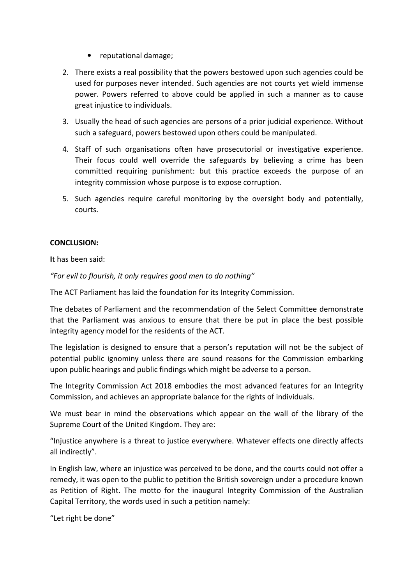- reputational damage;
- 2. There exists a real possibility that the powers bestowed upon such agencies could be used for purposes never intended. Such agencies are not courts yet wield immense power. Powers referred to above could be applied in such a manner as to cause great injustice to individuals.
- 3. Usually the head of such agencies are persons of a prior judicial experience. Without such a safeguard, powers bestowed upon others could be manipulated.
- 4. Staff of such organisations often have prosecutorial or investigative experience. Their focus could well override the safeguards by believing a crime has been committed requiring punishment: but this practice exceeds the purpose of an integrity commission whose purpose is to expose corruption.
- 5. Such agencies require careful monitoring by the oversight body and potentially, courts.

## CONCLUSION:

It has been said:

"For evil to flourish, it only requires good men to do nothing"

The ACT Parliament has laid the foundation for its Integrity Commission.

The debates of Parliament and the recommendation of the Select Committee demonstrate that the Parliament was anxious to ensure that there be put in place the best possible integrity agency model for the residents of the ACT.

The legislation is designed to ensure that a person's reputation will not be the subject of potential public ignominy unless there are sound reasons for the Commission embarking upon public hearings and public findings which might be adverse to a person.

The Integrity Commission Act 2018 embodies the most advanced features for an Integrity Commission, and achieves an appropriate balance for the rights of individuals.

We must bear in mind the observations which appear on the wall of the library of the Supreme Court of the United Kingdom. They are:

"Injustice anywhere is a threat to justice everywhere. Whatever effects one directly affects all indirectly".

In English law, where an injustice was perceived to be done, and the courts could not offer a remedy, it was open to the public to petition the British sovereign under a procedure known as Petition of Right. The motto for the inaugural Integrity Commission of the Australian Capital Territory, the words used in such a petition namely:

"Let right be done"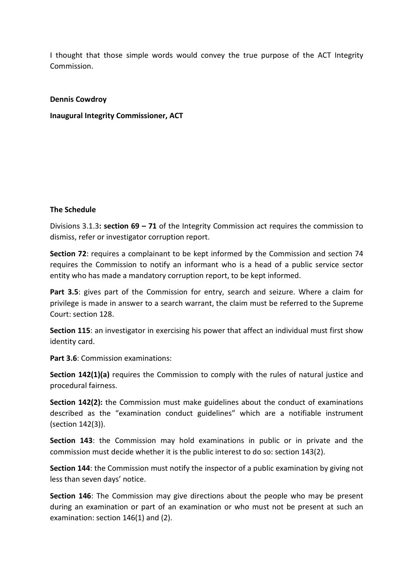I thought that those simple words would convey the true purpose of the ACT Integrity Commission.

#### Dennis Cowdroy

Inaugural Integrity Commissioner, ACT

#### The Schedule

Divisions 3.1.3: section  $69 - 71$  of the Integrity Commission act requires the commission to dismiss, refer or investigator corruption report.

Section 72: requires a complainant to be kept informed by the Commission and section 74 requires the Commission to notify an informant who is a head of a public service sector entity who has made a mandatory corruption report, to be kept informed.

Part 3.5: gives part of the Commission for entry, search and seizure. Where a claim for privilege is made in answer to a search warrant, the claim must be referred to the Supreme Court: section 128.

Section 115: an investigator in exercising his power that affect an individual must first show identity card.

Part 3.6: Commission examinations:

Section 142(1)(a) requires the Commission to comply with the rules of natural justice and procedural fairness.

Section 142(2): the Commission must make guidelines about the conduct of examinations described as the "examination conduct guidelines" which are a notifiable instrument (section 142(3)).

Section 143: the Commission may hold examinations in public or in private and the commission must decide whether it is the public interest to do so: section 143(2).

Section 144: the Commission must notify the inspector of a public examination by giving not less than seven days' notice.

Section 146: The Commission may give directions about the people who may be present during an examination or part of an examination or who must not be present at such an examination: section 146(1) and (2).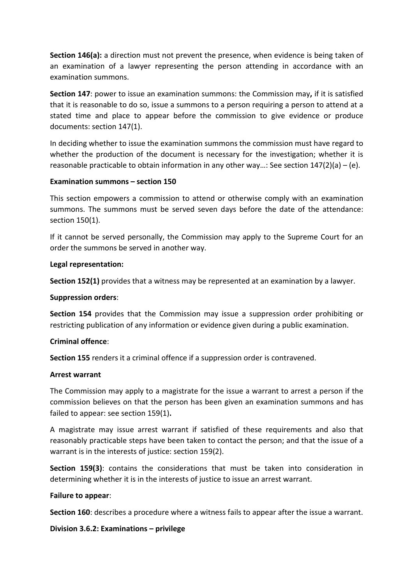Section 146(a): a direction must not prevent the presence, when evidence is being taken of an examination of a lawyer representing the person attending in accordance with an examination summons.

Section 147: power to issue an examination summons: the Commission may, if it is satisfied that it is reasonable to do so, issue a summons to a person requiring a person to attend at a stated time and place to appear before the commission to give evidence or produce documents: section 147(1).

In deciding whether to issue the examination summons the commission must have regard to whether the production of the document is necessary for the investigation; whether it is reasonable practicable to obtain information in any other way…: See section 147(2)(a) – (e).

### Examination summons – section 150

This section empowers a commission to attend or otherwise comply with an examination summons. The summons must be served seven days before the date of the attendance: section 150(1).

If it cannot be served personally, the Commission may apply to the Supreme Court for an order the summons be served in another way.

### Legal representation:

Section 152(1) provides that a witness may be represented at an examination by a lawyer.

### Suppression orders:

Section 154 provides that the Commission may issue a suppression order prohibiting or restricting publication of any information or evidence given during a public examination.

### Criminal offence:

Section 155 renders it a criminal offence if a suppression order is contravened.

### Arrest warrant

The Commission may apply to a magistrate for the issue a warrant to arrest a person if the commission believes on that the person has been given an examination summons and has failed to appear: see section 159(1).

A magistrate may issue arrest warrant if satisfied of these requirements and also that reasonably practicable steps have been taken to contact the person; and that the issue of a warrant is in the interests of justice: section 159(2).

Section 159(3): contains the considerations that must be taken into consideration in determining whether it is in the interests of justice to issue an arrest warrant.

### Failure to appear:

Section 160: describes a procedure where a witness fails to appear after the issue a warrant.

### Division 3.6.2: Examinations – privilege